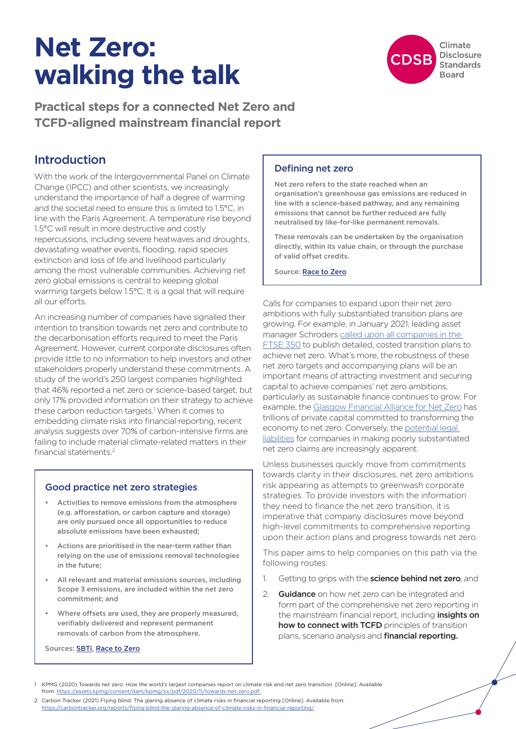# **Net Zero: walking the talk**



**Practical steps for a connected Net Zero and TCFD-aligned mainstream financial report**

# Introduction

With the work of the Intergovernmental Panel on Climate Change (IPCC) and other scientists, we increasingly understand the importance of half a degree of warming and the societal need to ensure this is limited to 1.5°C, in line with the Paris Agreement. A temperature rise beyond 1.5°C will result in more destructive and costly repercussions, including severe heatwaves and droughts, devastating weather events, flooding, rapid species extinction and loss of life and livelihood particularly among the most vulnerable communities. Achieving net zero global emissions is central to keeping global warming targets below 1.5°C. It is a goal that will require all our efforts.

An increasing number of companies have signalled their intention to transition towards net zero and contribute to the decarbonisation efforts required to meet the Paris Agreement. However, current corporate disclosures often provide little to no information to help investors and other stakeholders properly understand these commitments. A study of the world's 250 largest companies highlighted that 46% reported a net zero or science-based target, but only 17% provided information on their strategy to achieve these carbon reduction targets.<sup>1</sup> When it comes to embedding climate risks into financial reporting, recent analysis suggests over 70% of carbon-intensive firms are failing to include material climate-related matters in their financial statements.2

# Good practice net zero strategies

- Activities to remove emissions from the atmosphere (e.g. afforestation, or carbon capture and storage) are only pursued once all opportunities to reduce absolute emissions have been exhausted;
- Actions are prioritised in the near-term rather than relying on the use of emissions removal technologies in the future;
- All relevant and material emissions sources, including Scope 3 emissions, are included within the net zero commitment; and
- Where offsets are used, they are properly measured, verifiably delivered and represent permanent removals of carbon from the atmosphere.

Sources: [SBTi](https://sciencebasedtargets.org/blog/what-is-good-net-zero), [Race to Zero](https://racetozero.unfccc.int/wp-content/uploads/2021/04/Race-to-Zero-Criteria-2.0.pdf)

# Defining net zero

Net zero refers to the state reached when an organisation's greenhouse gas emissions are reduced in line with a science-based pathway, and any remaining emissions that cannot be further reduced are fully neutralised by like-for-like permanent removals.

These removals can be undertaken by the organisation directly, within its value chain, or through the purchase of valid offset credits.

Source: [Race to Zero](https://racetozero.unfccc.int/wp-content/uploads/2021/04/Race-to-Zero-Lexicon.pdf)

Calls for companies to expand upon their net zero ambitions with fully substantiated transition plans are growing. For example, in January 2021, leading asset manager Schroders [called upon all companies in the](https://www.schroders.com/en/sysglobalassets/digital/insights/pdfs/2021-jan-ftse-350-letter-climate-change-planning.pdf)  [FTSE 350](https://www.schroders.com/en/sysglobalassets/digital/insights/pdfs/2021-jan-ftse-350-letter-climate-change-planning.pdf) to publish detailed, costed transition plans to achieve net zero. What's more, the robustness of these net zero targets and accompanying plans will be an important means of attracting investment and securing capital to achieve companies' net zero ambitions, particularly as sustainable finance continues to grow. For example, the [Glasgow Financial Alliance for Net Zero](https://www.gfanzero.com/) has trillions of private capital committed to transforming the economy to net zero. Conversely, the potential legal [liabilities](https://www.reuters.com/business/sustainable-business/australian-environmental-group-sues-santos-over-clean-energy-claims-2021-08-26/) for companies in making poorly substantiated net zero claims are increasingly apparent.

Unless businesses quickly move from commitments towards clarity in their disclosures, net zero ambitions risk appearing as attempts to greenwash corporate strategies. To provide investors with the information they need to finance the net zero transition, it is imperative that company disclosures move beyond high-level commitments to comprehensive reporting upon their action plans and progress towards net zero.

This paper aims to help companies on this path via the following routes:

- 1. Getting to grips with the **science behind net zero**, and
- 2. **Guidance** on how net zero can be integrated and form part of the comprehensive net zero reporting in the mainstream financial report, including *insights on* how to connect with TCFD principles of transition plans, scenario analysis and financial reporting.
- 1 KPMG (2020) Towards net zero: How the world's largest companies report on climate risk and net zero transition. [Online]. Available from: <https://assets.kpmg/content/dam/kpmg/xx/pdf/2020/11/towards-net-zero.pdf>
- 2 Carbon Tracker (2021) Flying blind: The glaring absence of climate risks in financial reporting [Online]. Available from: <https://carbontracker.org/reports/flying-blind-the-glaring-absence-of-climate-risks-in-financial-reporting/>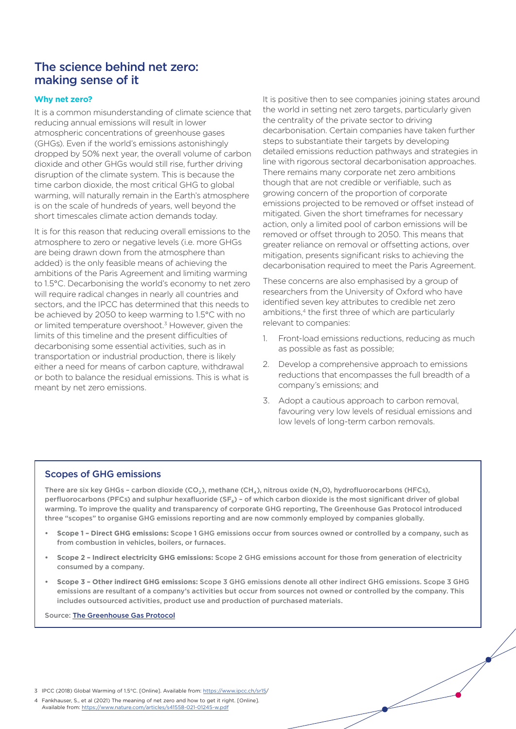# The science behind net zero: making sense of it

## **Why net zero?**

It is a common misunderstanding of climate science that reducing annual emissions will result in lower atmospheric concentrations of greenhouse gases (GHGs). Even if the world's emissions astonishingly dropped by 50% next year, the overall volume of carbon dioxide and other GHGs would still rise, further driving disruption of the climate system. This is because the time carbon dioxide, the most critical GHG to global warming, will naturally remain in the Earth's atmosphere is on the scale of hundreds of years, well beyond the short timescales climate action demands today.

It is for this reason that reducing overall emissions to the atmosphere to zero or negative levels (i.e. more GHGs are being drawn down from the atmosphere than added) is the only feasible means of achieving the ambitions of the Paris Agreement and limiting warming to 1.5°C. Decarbonising the world's economy to net zero will require radical changes in nearly all countries and sectors, and the IPCC has determined that this needs to be achieved by 2050 to keep warming to 1.5°C with no or limited temperature overshoot.<sup>3</sup> However, given the limits of this timeline and the present difficulties of decarbonising some essential activities, such as in transportation or industrial production, there is likely either a need for means of carbon capture, withdrawal or both to balance the residual emissions. This is what is meant by net zero emissions.

It is positive then to see companies joining states around the world in setting net zero targets, particularly given the centrality of the private sector to driving decarbonisation. Certain companies have taken further steps to substantiate their targets by developing detailed emissions reduction pathways and strategies in line with rigorous sectoral decarbonisation approaches. There remains many corporate net zero ambitions though that are not credible or verifiable, such as growing concern of the proportion of corporate emissions projected to be removed or offset instead of mitigated. Given the short timeframes for necessary action, only a limited pool of carbon emissions will be removed or offset through to 2050. This means that greater reliance on removal or offsetting actions, over mitigation, presents significant risks to achieving the decarbonisation required to meet the Paris Agreement.

These concerns are also emphasised by a group of researchers from the University of Oxford who have identified seven key attributes to credible net zero ambitions,<sup>4</sup> the first three of which are particularly relevant to companies:

- 1. Front-load emissions reductions, reducing as much as possible as fast as possible;
- 2. Develop a comprehensive approach to emissions reductions that encompasses the full breadth of a company's emissions; and
- 3. Adopt a cautious approach to carbon removal, favouring very low levels of residual emissions and low levels of long-term carbon removals.

## Scopes of GHG emissions

There are six key GHGs – carbon dioxide (CO<sub>2</sub>), methane (CH<sub>4</sub>), nitrous oxide (N<sub>2</sub>O), hydrofluorocarbons (HFCs), perfluorocarbons (PFCs) and sulphur hexafluoride ( $SF<sub>6</sub>$ ) – of which carbon dioxide is the most significant driver of global warming. To improve the quality and transparency of corporate GHG reporting, The Greenhouse Gas Protocol introduced three "scopes" to organise GHG emissions reporting and are now commonly employed by companies globally.

- **• Scope 1 Direct GHG emissions:** Scope 1 GHG emissions occur from sources owned or controlled by a company, such as from combustion in vehicles, boilers, or furnaces.
- **• Scope 2 Indirect electricity GHG emissions:** Scope 2 GHG emissions account for those from generation of electricity consumed by a company.
- **• Scope 3 Other indirect GHG emissions:** Scope 3 GHG emissions denote all other indirect GHG emissions. Scope 3 GHG emissions are resultant of a company's activities but occur from sources not owned or controlled by the company. This includes outsourced activities, product use and production of purchased materials.

Source: [The Greenhouse Gas Protocol](https://ghgprotocol.org/sites/default/files/standards/ghg-protocol-revised.pdf)

3 IPCC (2018) Global Warming of 1.5°C. [Online]. Available from: [https://www.ipcc.ch/sr15](https://www.ipcc.ch/sr15/)/

4 Fankhauser, S., et al (2021) The meaning of net zero and how to get it right. [Online]. Available from:<https://www.nature.com/articles/s41558-021-01245-w.pdf>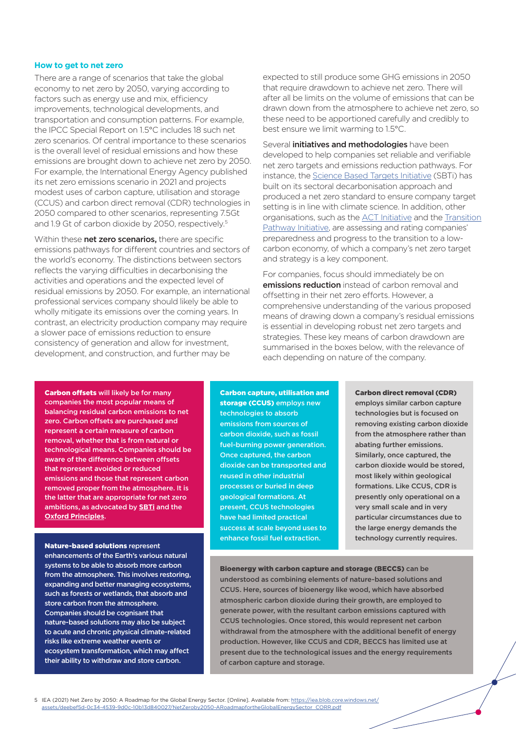### **How to get to net zero**

There are a range of scenarios that take the global economy to net zero by 2050, varying according to factors such as energy use and mix, efficiency improvements, technological developments, and transportation and consumption patterns. For example, the IPCC Special Report on 1.5°C includes 18 such net zero scenarios. Of central importance to these scenarios is the overall level of residual emissions and how these emissions are brought down to achieve net zero by 2050. For example, the International Energy Agency published its net zero emissions scenario in 2021 and projects modest uses of carbon capture, utilisation and storage (CCUS) and carbon direct removal (CDR) technologies in 2050 compared to other scenarios, representing 7.5Gt and 1.9 Gt of carbon dioxide by 2050, respectively.<sup>5</sup>

Within these net zero scenarios, there are specific emissions pathways for different countries and sectors of the world's economy. The distinctions between sectors reflects the varying difficulties in decarbonising the activities and operations and the expected level of residual emissions by 2050. For example, an international professional services company should likely be able to wholly mitigate its emissions over the coming years. In contrast, an electricity production company may require a slower pace of emissions reduction to ensure consistency of generation and allow for investment, development, and construction, and further may be

expected to still produce some GHG emissions in 2050 that require drawdown to achieve net zero. There will after all be limits on the volume of emissions that can be drawn down from the atmosphere to achieve net zero, so these need to be apportioned carefully and credibly to best ensure we limit warming to 1.5°C.

Several *initiatives and methodologies* have been developed to help companies set reliable and verifiable net zero targets and emissions reduction pathways. For instance, the [Science Based Targets Initiative](https://sciencebasedtargets.org/) (SBTi) has built on its sectoral decarbonisation approach and produced a net zero standard to ensure company target setting is in line with climate science. In addition, other organisations, such as the **ACT** Initiative and the Transition [Pathway Initiative](https://transitionpathwayinitiative.org/), are assessing and rating companies' preparedness and progress to the transition to a lowcarbon economy, of which a company's net zero target and strategy is a key component.

For companies, focus should immediately be on emissions reduction instead of carbon removal and offsetting in their net zero efforts. However, a comprehensive understanding of the various proposed means of drawing down a company's residual emissions is essential in developing robust net zero targets and strategies. These key means of carbon drawdown are summarised in the boxes below, with the relevance of each depending on nature of the company.

Carbon offsets will likely be for many companies the most popular means of balancing residual carbon emissions to net zero. Carbon offsets are purchased and represent a certain measure of carbon removal, whether that is from natural or technological means. Companies should be aware of the difference between offsets that represent avoided or reduced emissions and those that represent carbon removed proper from the atmosphere. It is the latter that are appropriate for net zero ambitions, as advocated by **[SBTi](https://sciencebasedtargets.org/net-zero)** and the **[Oxford Principles](https://www.smithschool.ox.ac.uk/publications/reports/Oxford-Offsetting-Principles-2020.pdf)**.

Nature-based solutions represent enhancements of the Earth's various natural systems to be able to absorb more carbon from the atmosphere. This involves restoring, expanding and better managing ecosystems, such as forests or wetlands, that absorb and store carbon from the atmosphere. Companies should be cognisant that nature-based solutions may also be subject to acute and chronic physical climate-related risks like extreme weather events or ecosystem transformation, which may affect their ability to withdraw and store carbon.

Carbon capture, utilisation and storage (CCUS) employs new technologies to absorb emissions from sources of carbon dioxide, such as fossil fuel-burning power generation. Once captured, the carbon dioxide can be transported and reused in other industrial processes or buried in deep geological formations. At present, CCUS technologies have had limited practical success at scale beyond uses to enhance fossil fuel extraction.

Carbon direct removal (CDR) employs similar carbon capture technologies but is focused on removing existing carbon dioxide from the atmosphere rather than abating further emissions. Similarly, once captured, the carbon dioxide would be stored, most likely within geological formations. Like CCUS, CDR is presently only operational on a very small scale and in very particular circumstances due to the large energy demands the technology currently requires.

Bioenergy with carbon capture and storage (BECCS) can be understood as combining elements of nature-based solutions and CCUS. Here, sources of bioenergy like wood, which have absorbed atmospheric carbon dioxide during their growth, are employed to generate power, with the resultant carbon emissions captured with CCUS technologies. Once stored, this would represent net carbon withdrawal from the atmosphere with the additional benefit of energy production. However, like CCUS and CDR, BECCS has limited use at present due to the technological issues and the energy requirements of carbon capture and storage.

5 IEA (2021) Net Zero by 2050: A Roadmap for the Global Energy Sector. [Online]. Available from: [https://iea.blob.core.windows.net/](https://iea.blob.core.windows.net/assets/deebef5d-0c34-4539-9d0c-10b13d840027/NetZeroby2050-ARoadmapfortheGlobalEnergySector_CORR.pdf) [assets/deebef5d-0c34-4539-9d0c-10b13d840027/NetZeroby2050-ARoadmapfortheGlobalEnergySector\\_CORR.pdf](https://iea.blob.core.windows.net/assets/deebef5d-0c34-4539-9d0c-10b13d840027/NetZeroby2050-ARoadmapfortheGlobalEnergySector_CORR.pdf)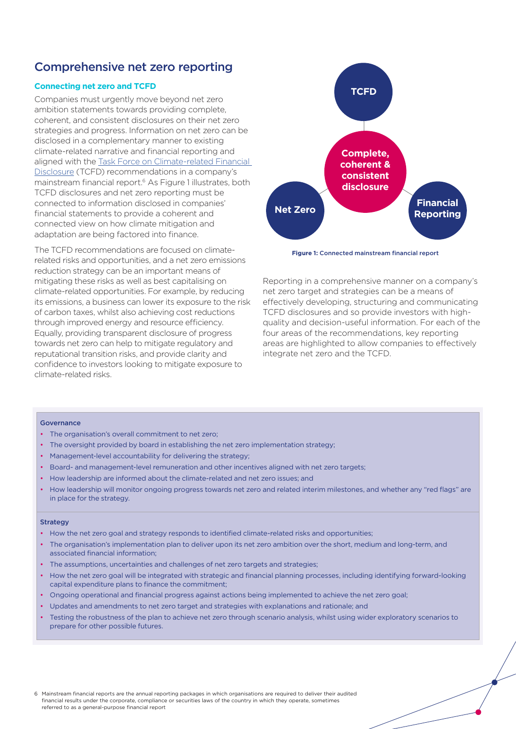# Comprehensive net zero reporting

## **Connecting net zero and TCFD**

Companies must urgently move beyond net zero ambition statements towards providing complete, coherent, and consistent disclosures on their net zero strategies and progress. Information on net zero can be disclosed in a complementary manner to existing climate-related narrative and financial reporting and aligned with the [Task Force on Climate-related Financial](https://www.fsb-tcfd.org/recommendations/)  [Disclosure](https://www.fsb-tcfd.org/recommendations/) (TCFD) recommendations in a company's mainstream financial report.6 As Figure 1 illustrates, both TCFD disclosures and net zero reporting must be connected to information disclosed in companies' financial statements to provide a coherent and connected view on how climate mitigation and adaptation are being factored into finance.

The TCFD recommendations are focused on climaterelated risks and opportunities, and a net zero emissions reduction strategy can be an important means of mitigating these risks as well as best capitalising on climate-related opportunities. For example, by reducing its emissions, a business can lower its exposure to the risk of carbon taxes, whilst also achieving cost reductions through improved energy and resource efficiency. Equally, providing transparent disclosure of progress towards net zero can help to mitigate regulatory and reputational transition risks, and provide clarity and confidence to investors looking to mitigate exposure to climate-related risks.



**Figure 1:** Connected mainstream financial report

Reporting in a comprehensive manner on a company's net zero target and strategies can be a means of effectively developing, structuring and communicating TCFD disclosures and so provide investors with highquality and decision-useful information. For each of the four areas of the recommendations, key reporting areas are highlighted to allow companies to effectively integrate net zero and the TCFD.

#### Governance

- The organisation's overall commitment to net zero;
- The oversight provided by board in establishing the net zero implementation strategy;
- Management-level accountability for delivering the strategy;
- Board- and management-level remuneration and other incentives aligned with net zero targets;
- How leadership are informed about the climate-related and net zero issues; and
- How leadership will monitor ongoing progress towards net zero and related interim milestones, and whether any "red flags" are in place for the strategy.

#### **Strategy**

- How the net zero goal and strategy responds to identified climate-related risks and opportunities;
- The organisation's implementation plan to deliver upon its net zero ambition over the short, medium and long-term, and associated financial information;
- The assumptions, uncertainties and challenges of net zero targets and strategies;
- How the net zero goal will be integrated with strategic and financial planning processes, including identifying forward-looking capital expenditure plans to finance the commitment;
- Ongoing operational and financial progress against actions being implemented to achieve the net zero goal;
- Updates and amendments to net zero target and strategies with explanations and rationale; and
- Testing the robustness of the plan to achieve net zero through scenario analysis, whilst using wider exploratory scenarios to prepare for other possible futures.

6 Mainstream financial reports are the annual reporting packages in which organisations are required to deliver their audited financial results under the corporate, compliance or securities laws of the country in which they operate, sometimes referred to as a general-purpose financial report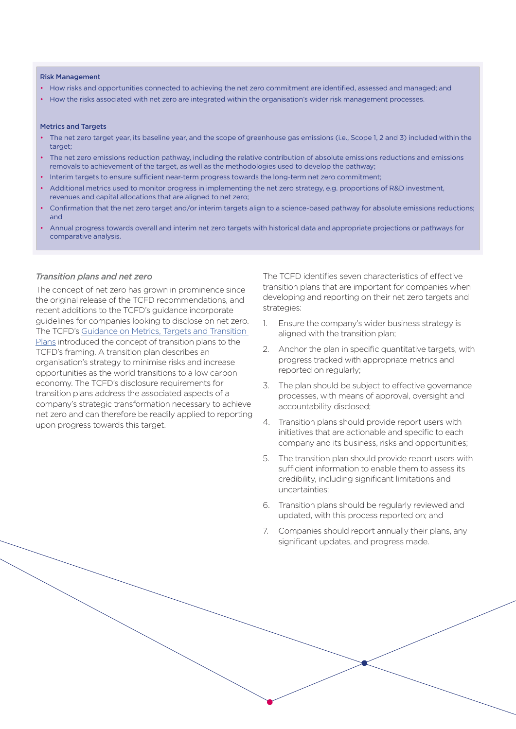#### Risk Management

- How risks and opportunities connected to achieving the net zero commitment are identified, assessed and managed; and
- How the risks associated with net zero are integrated within the organisation's wider risk management processes.

#### Metrics and Targets

- The net zero target year, its baseline year, and the scope of greenhouse gas emissions (i.e., Scope 1, 2 and 3) included within the target:
- The net zero emissions reduction pathway, including the relative contribution of absolute emissions reductions and emissions removals to achievement of the target, as well as the methodologies used to develop the pathway;
- Interim targets to ensure sufficient near-term progress towards the long-term net zero commitment;
- Additional metrics used to monitor progress in implementing the net zero strategy, e.g. proportions of R&D investment, revenues and capital allocations that are aligned to net zero;
- Confirmation that the net zero target and/or interim targets align to a science-based pathway for absolute emissions reductions; and
- Annual progress towards overall and interim net zero targets with historical data and appropriate projections or pathways for comparative analysis.

### *Transition plans and net zero*

The concept of net zero has grown in prominence since the original release of the TCFD recommendations, and recent additions to the TCFD's guidance incorporate guidelines for companies looking to disclose on net zero. The TCFD's [Guidance on Metrics, Targets and Transition](https://assets.bbhub.io/company/sites/60/2021/07/2021-Metrics_Targets_Guidance-1.pdf)  [Plans](https://assets.bbhub.io/company/sites/60/2021/07/2021-Metrics_Targets_Guidance-1.pdf) introduced the concept of transition plans to the TCFD's framing. A transition plan describes an organisation's strategy to minimise risks and increase opportunities as the world transitions to a low carbon economy. The TCFD's disclosure requirements for transition plans address the associated aspects of a company's strategic transformation necessary to achieve net zero and can therefore be readily applied to reporting upon progress towards this target.

The TCFD identifies seven characteristics of effective transition plans that are important for companies when developing and reporting on their net zero targets and strategies:

- 1. Ensure the company's wider business strategy is aligned with the transition plan;
- 2. Anchor the plan in specific quantitative targets, with progress tracked with appropriate metrics and reported on regularly;
- 3. The plan should be subject to effective governance processes, with means of approval, oversight and accountability disclosed;
- 4. Transition plans should provide report users with initiatives that are actionable and specific to each company and its business, risks and opportunities;
- 5. The transition plan should provide report users with sufficient information to enable them to assess its credibility, including significant limitations and uncertainties;
- 6. Transition plans should be regularly reviewed and updated, with this process reported on; and
- 7. Companies should report annually their plans, any significant updates, and progress made.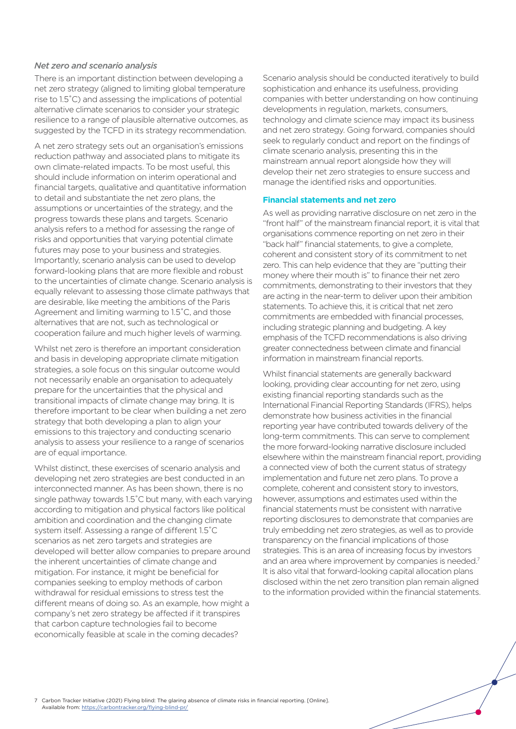## *Net zero and scenario analysis*

There is an important distinction between developing a net zero strategy (aligned to limiting global temperature rise to 1.5˚C) and assessing the implications of potential alternative climate scenarios to consider your strategic resilience to a range of plausible alternative outcomes, as suggested by the TCFD in its strategy recommendation.

A net zero strategy sets out an organisation's emissions reduction pathway and associated plans to mitigate its own climate-related impacts. To be most useful, this should include information on interim operational and financial targets, qualitative and quantitative information to detail and substantiate the net zero plans, the assumptions or uncertainties of the strategy, and the progress towards these plans and targets. Scenario analysis refers to a method for assessing the range of risks and opportunities that varying potential climate futures may pose to your business and strategies. Importantly, scenario analysis can be used to develop forward-looking plans that are more flexible and robust to the uncertainties of climate change. Scenario analysis is equally relevant to assessing those climate pathways that are desirable, like meeting the ambitions of the Paris Agreement and limiting warming to 1.5˚C, and those alternatives that are not, such as technological or cooperation failure and much higher levels of warming.

Whilst net zero is therefore an important consideration and basis in developing appropriate climate mitigation strategies, a sole focus on this singular outcome would not necessarily enable an organisation to adequately prepare for the uncertainties that the physical and transitional impacts of climate change may bring. It is therefore important to be clear when building a net zero strategy that both developing a plan to align your emissions to this trajectory and conducting scenario analysis to assess your resilience to a range of scenarios are of equal importance.

Whilst distinct, these exercises of scenario analysis and developing net zero strategies are best conducted in an interconnected manner. As has been shown, there is no single pathway towards 1.5˚C but many, with each varying according to mitigation and physical factors like political ambition and coordination and the changing climate system itself. Assessing a range of different 1.5˚C scenarios as net zero targets and strategies are developed will better allow companies to prepare around the inherent uncertainties of climate change and mitigation. For instance, it might be beneficial for companies seeking to employ methods of carbon withdrawal for residual emissions to stress test the different means of doing so. As an example, how might a company's net zero strategy be affected if it transpires that carbon capture technologies fail to become economically feasible at scale in the coming decades?

Scenario analysis should be conducted iteratively to build sophistication and enhance its usefulness, providing companies with better understanding on how continuing developments in regulation, markets, consumers, technology and climate science may impact its business and net zero strategy. Going forward, companies should seek to regularly conduct and report on the findings of climate scenario analysis, presenting this in the mainstream annual report alongside how they will develop their net zero strategies to ensure success and manage the identified risks and opportunities.

## **Financial statements and net zero**

As well as providing narrative disclosure on net zero in the "front half" of the mainstream financial report, it is vital that organisations commence reporting on net zero in their "back half" financial statements, to give a complete, coherent and consistent story of its commitment to net zero. This can help evidence that they are "putting their money where their mouth is" to finance their net zero commitments, demonstrating to their investors that they are acting in the near-term to deliver upon their ambition statements. To achieve this, it is critical that net zero commitments are embedded with financial processes, including strategic planning and budgeting. A key emphasis of the TCFD recommendations is also driving greater connectedness between climate and financial information in mainstream financial reports.

Whilst financial statements are generally backward looking, providing clear accounting for net zero, using existing financial reporting standards such as the International Financial Reporting Standards (IFRS), helps demonstrate how business activities in the financial reporting year have contributed towards delivery of the long-term commitments. This can serve to complement the more forward-looking narrative disclosure included elsewhere within the mainstream financial report, providing a connected view of both the current status of strategy implementation and future net zero plans. To prove a complete, coherent and consistent story to investors, however, assumptions and estimates used within the financial statements must be consistent with narrative reporting disclosures to demonstrate that companies are truly embedding net zero strategies, as well as to provide transparency on the financial implications of those strategies. This is an area of increasing focus by investors and an area where improvement by companies is needed.<sup>7</sup> It is also vital that forward-looking capital allocation plans disclosed within the net zero transition plan remain aligned to the information provided within the financial statements.

7 Carbon Tracker Initiative (2021) Flying blind: The glaring absence of climate risks in financial reporting. [Online]. Available from:<https://carbontracker.org/flying-blind-pr/>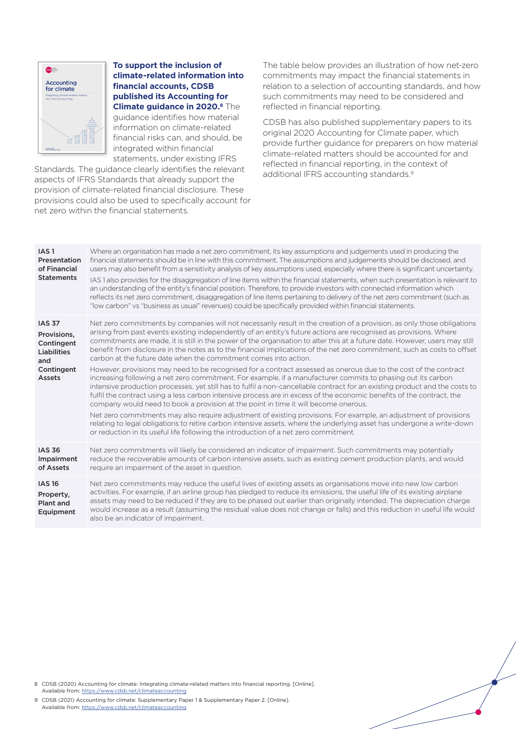

**To support the inclusion of climate-related information into financial accounts, CDSB published its Accounting for Climate guidance in 2020.8** The guidance identifies how material information on climate-related financial risks can, and should, be integrated within financial statements, under existing IFRS

Standards. The guidance clearly identifies the relevant aspects of IFRS Standards that already support the provision of climate-related financial disclosure. These provisions could also be used to specifically account for net zero within the financial statements.

The table below provides an illustration of how net-zero commitments may impact the financial statements in relation to a selection of accounting standards, and how such commitments may need to be considered and reflected in financial reporting.

CDSB has also published supplementary papers to its original 2020 Accounting for Climate paper, which provide further guidance for preparers on how material climate-related matters should be accounted for and reflected in financial reporting, in the context of additional IFRS accounting standards.9

| IAS <sub>1</sub><br>Presentation<br>of Financial<br><b>Statements</b> | Where an organisation has made a net zero commitment, its key assumptions and judgements used in producing the<br>financial statements should be in line with this commitment. The assumptions and judgements should be disclosed, and<br>users may also benefit from a sensitivity analysis of key assumptions used, especially where there is significant uncertainty.<br>IAS1 also provides for the disaggregation of line items within the financial statements, when such presentation is relevant to<br>an understanding of the entity's financial position. Therefore, to provide investors with connected information which<br>reflects its net zero commitment, disaggregation of line items pertaining to delivery of the net zero commitment (such as<br>"low carbon" vs "business as usual" revenues) could be specifically provided within financial statements. |
|-----------------------------------------------------------------------|-------------------------------------------------------------------------------------------------------------------------------------------------------------------------------------------------------------------------------------------------------------------------------------------------------------------------------------------------------------------------------------------------------------------------------------------------------------------------------------------------------------------------------------------------------------------------------------------------------------------------------------------------------------------------------------------------------------------------------------------------------------------------------------------------------------------------------------------------------------------------------|
| <b>IAS 37</b><br>Provisions,<br>Contingent<br>Liabilities<br>and      | Net zero commitments by companies will not necessarily result in the creation of a provision, as only those obligations<br>arising from past events existing independently of an entity's future actions are recognised as provisions. Where<br>commitments are made, it is still in the power of the organisation to alter this at a future date. However, users may still<br>benefit from disclosure in the notes as to the financial implications of the net zero commitment, such as costs to offset<br>carbon at the future date when the commitment comes into action.                                                                                                                                                                                                                                                                                                  |
| Contingent<br>Assets                                                  | However, provisions may need to be recognised for a contract assessed as onerous due to the cost of the contract<br>increasing following a net zero commitment. For example, if a manufacturer commits to phasing out its carbon<br>intensive production processes, yet still has to fulfil a non-cancellable contract for an existing product and the costs to<br>fulfil the contract using a less carbon intensive process are in excess of the economic benefits of the contract, the<br>company would need to book a provision at the point in time it will become onerous.<br>Net zero commitments may also require adjustment of existing provisions. For example, an adjustment of provisions<br>relating to legal obligations to retire carbon intensive assets, where the underlying asset has undergone a write-down                                                |
|                                                                       | or reduction in its useful life following the introduction of a net zero commitment.                                                                                                                                                                                                                                                                                                                                                                                                                                                                                                                                                                                                                                                                                                                                                                                          |
| <b>IAS 36</b><br>Impairment<br>of Assets                              | Net zero commitments will likely be considered an indicator of impairment. Such commitments may potentially<br>reduce the recoverable amounts of carbon intensive assets, such as existing cement production plants, and would<br>require an impairment of the asset in question.                                                                                                                                                                                                                                                                                                                                                                                                                                                                                                                                                                                             |
| <b>IAS 16</b><br>Property,<br><b>Plant and</b><br>Equipment           | Net zero commitments may reduce the useful lives of existing assets as organisations move into new low carbon<br>activities. For example, if an airline group has pledged to reduce its emissions, the useful life of its existing airplane<br>assets may need to be reduced if they are to be phased out earlier than originally intended. The depreciation charge<br>would increase as a result (assuming the residual value does not change or falls) and this reduction in useful life would<br>also be an indicator of impairment.                                                                                                                                                                                                                                                                                                                                       |

8 CDSB (2020) Accounting for climate: Integrating climate-related matters into financial reporting. [Online]. Available from:<https://www.cdsb.net/climateaccounting>

9 CDSB (2021) Accounting for climate: Supplementary Paper 1 & Supplementary Paper 2. [Online]. Available from:<https://www.cdsb.net/climateaccounting>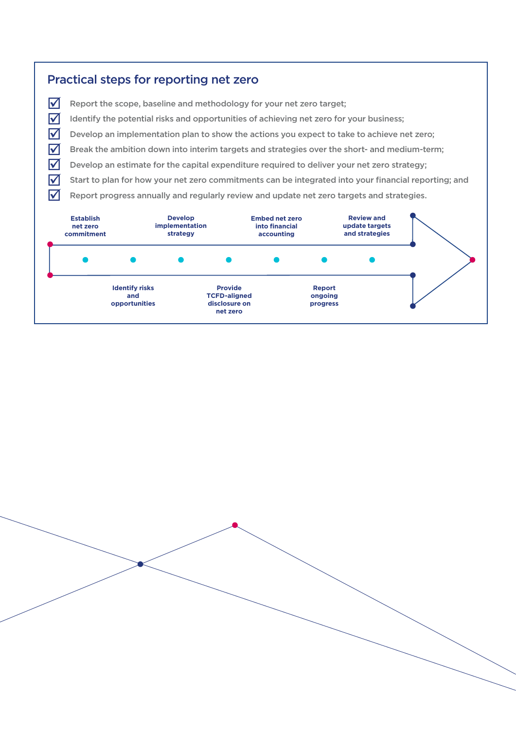